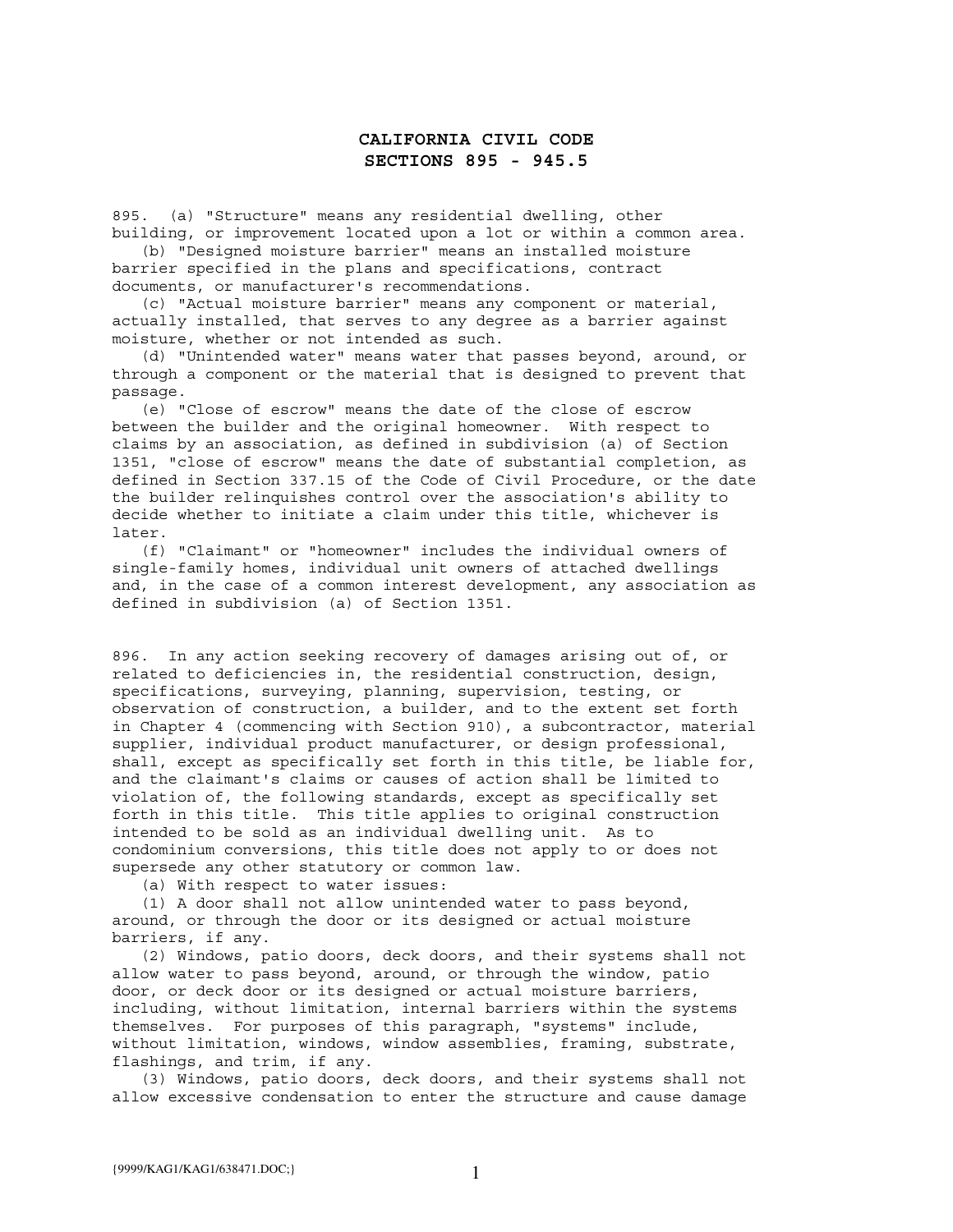## **CALIFORNIA CIVIL CODE SECTIONS 895 - 945.5**

895. (a) "Structure" means any residential dwelling, other building, or improvement located upon a lot or within a common area.

 (b) "Designed moisture barrier" means an installed moisture barrier specified in the plans and specifications, contract documents, or manufacturer's recommendations.

 (c) "Actual moisture barrier" means any component or material, actually installed, that serves to any degree as a barrier against moisture, whether or not intended as such.

 (d) "Unintended water" means water that passes beyond, around, or through a component or the material that is designed to prevent that passage.

 (e) "Close of escrow" means the date of the close of escrow between the builder and the original homeowner. With respect to claims by an association, as defined in subdivision (a) of Section 1351, "close of escrow" means the date of substantial completion, as defined in Section 337.15 of the Code of Civil Procedure, or the date the builder relinquishes control over the association's ability to decide whether to initiate a claim under this title, whichever is later.

 (f) "Claimant" or "homeowner" includes the individual owners of single-family homes, individual unit owners of attached dwellings and, in the case of a common interest development, any association as defined in subdivision (a) of Section 1351.

896. In any action seeking recovery of damages arising out of, or related to deficiencies in, the residential construction, design, specifications, surveying, planning, supervision, testing, or observation of construction, a builder, and to the extent set forth in Chapter 4 (commencing with Section 910), a subcontractor, material supplier, individual product manufacturer, or design professional, shall, except as specifically set forth in this title, be liable for, and the claimant's claims or causes of action shall be limited to violation of, the following standards, except as specifically set forth in this title. This title applies to original construction intended to be sold as an individual dwelling unit. As to condominium conversions, this title does not apply to or does not supersede any other statutory or common law.

(a) With respect to water issues:

 (1) A door shall not allow unintended water to pass beyond, around, or through the door or its designed or actual moisture barriers, if any.

 (2) Windows, patio doors, deck doors, and their systems shall not allow water to pass beyond, around, or through the window, patio door, or deck door or its designed or actual moisture barriers, including, without limitation, internal barriers within the systems themselves. For purposes of this paragraph, "systems" include, without limitation, windows, window assemblies, framing, substrate, flashings, and trim, if any.

 (3) Windows, patio doors, deck doors, and their systems shall not allow excessive condensation to enter the structure and cause damage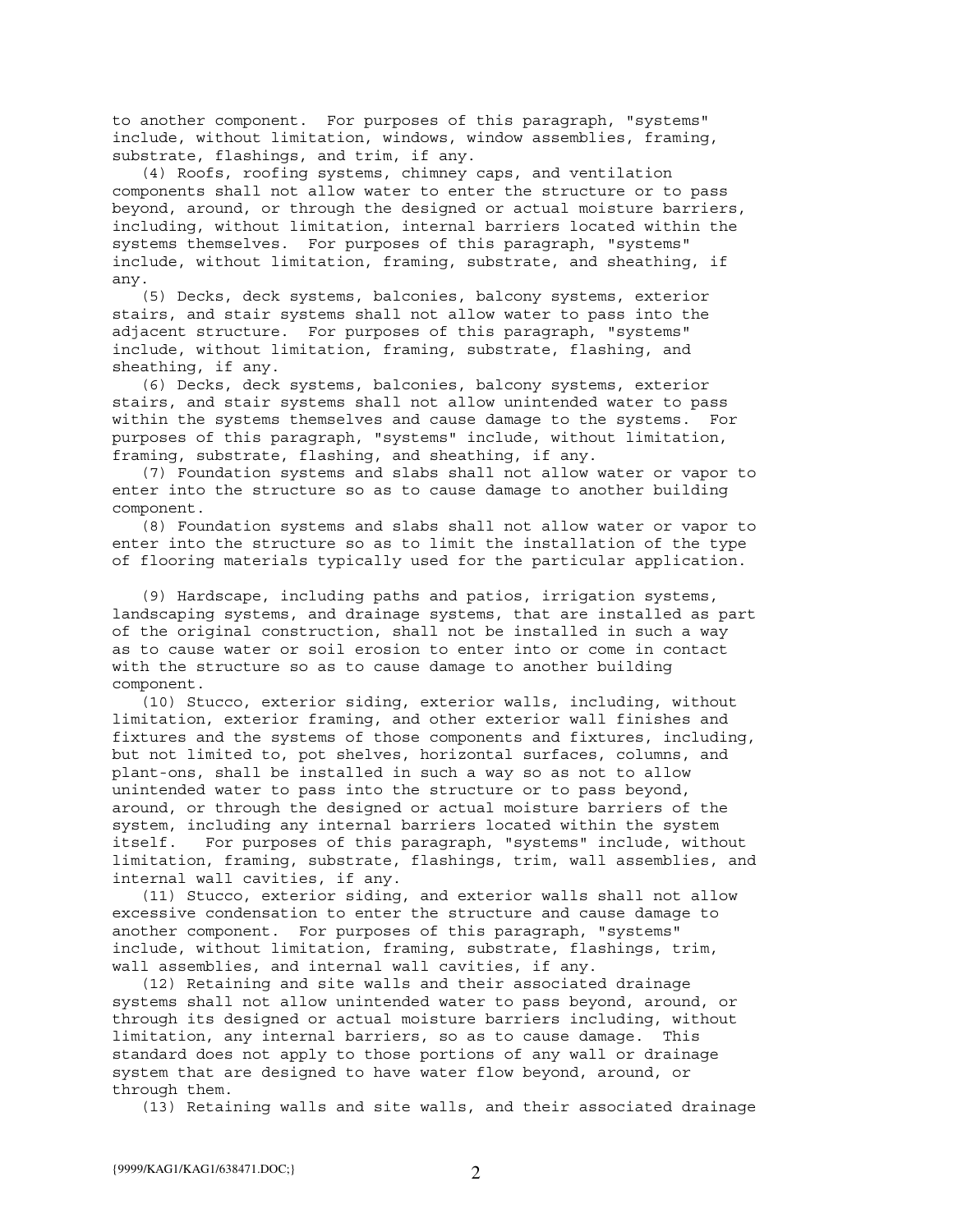to another component. For purposes of this paragraph, "systems" include, without limitation, windows, window assemblies, framing, substrate, flashings, and trim, if any.

 (4) Roofs, roofing systems, chimney caps, and ventilation components shall not allow water to enter the structure or to pass beyond, around, or through the designed or actual moisture barriers, including, without limitation, internal barriers located within the systems themselves. For purposes of this paragraph, "systems" include, without limitation, framing, substrate, and sheathing, if any.

 (5) Decks, deck systems, balconies, balcony systems, exterior stairs, and stair systems shall not allow water to pass into the adjacent structure. For purposes of this paragraph, "systems" include, without limitation, framing, substrate, flashing, and sheathing, if any.

 (6) Decks, deck systems, balconies, balcony systems, exterior stairs, and stair systems shall not allow unintended water to pass within the systems themselves and cause damage to the systems. For purposes of this paragraph, "systems" include, without limitation, framing, substrate, flashing, and sheathing, if any.

 (7) Foundation systems and slabs shall not allow water or vapor to enter into the structure so as to cause damage to another building component.

 (8) Foundation systems and slabs shall not allow water or vapor to enter into the structure so as to limit the installation of the type of flooring materials typically used for the particular application.

 (9) Hardscape, including paths and patios, irrigation systems, landscaping systems, and drainage systems, that are installed as part of the original construction, shall not be installed in such a way as to cause water or soil erosion to enter into or come in contact with the structure so as to cause damage to another building component.

 (10) Stucco, exterior siding, exterior walls, including, without limitation, exterior framing, and other exterior wall finishes and fixtures and the systems of those components and fixtures, including, but not limited to, pot shelves, horizontal surfaces, columns, and plant-ons, shall be installed in such a way so as not to allow unintended water to pass into the structure or to pass beyond, around, or through the designed or actual moisture barriers of the system, including any internal barriers located within the system itself. For purposes of this paragraph, "systems" include, without limitation, framing, substrate, flashings, trim, wall assemblies, and internal wall cavities, if any.

 (11) Stucco, exterior siding, and exterior walls shall not allow excessive condensation to enter the structure and cause damage to another component. For purposes of this paragraph, "systems" include, without limitation, framing, substrate, flashings, trim, wall assemblies, and internal wall cavities, if any.

 (12) Retaining and site walls and their associated drainage systems shall not allow unintended water to pass beyond, around, or through its designed or actual moisture barriers including, without limitation, any internal barriers, so as to cause damage. This standard does not apply to those portions of any wall or drainage system that are designed to have water flow beyond, around, or through them.

(13) Retaining walls and site walls, and their associated drainage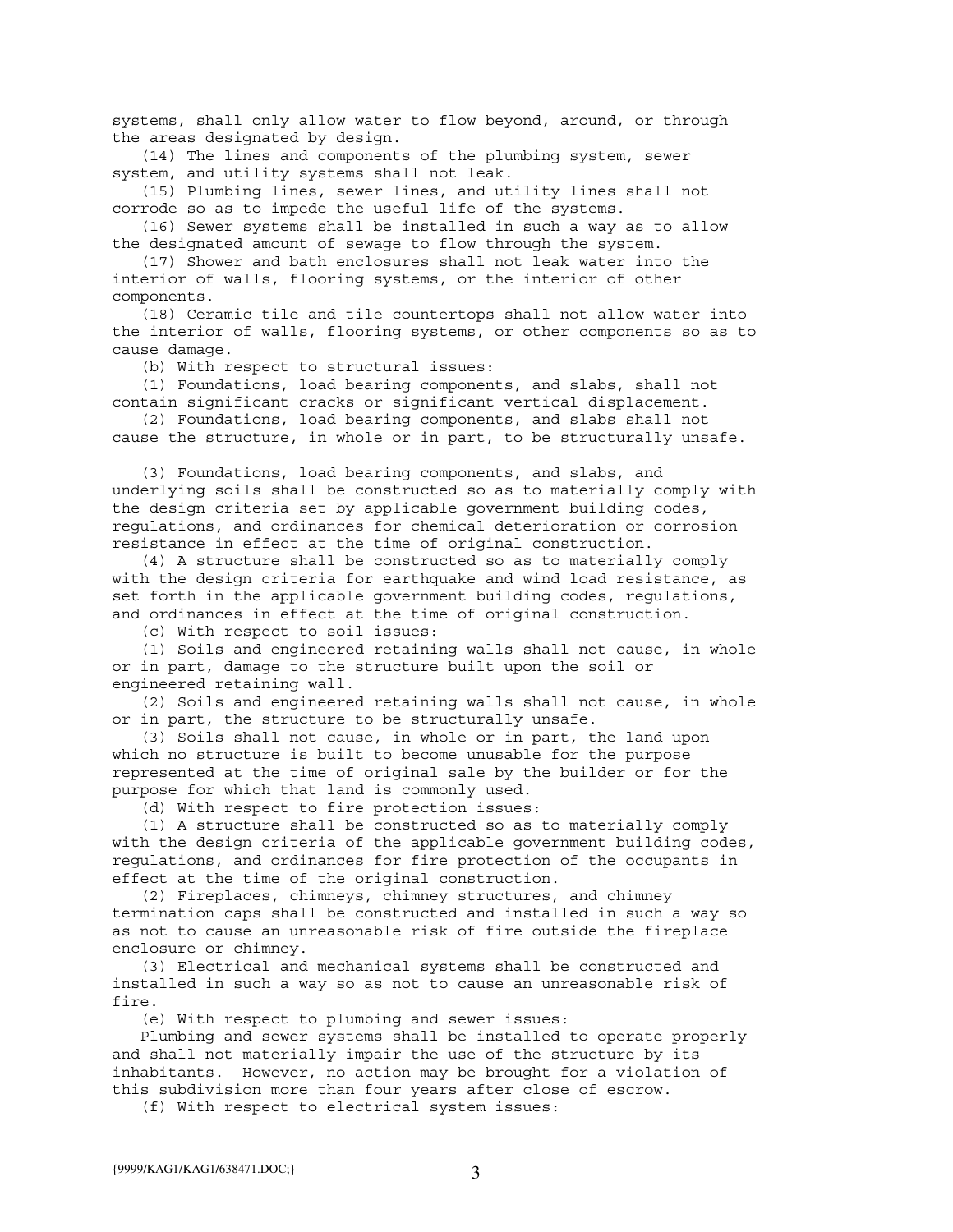systems, shall only allow water to flow beyond, around, or through the areas designated by design.

 (14) The lines and components of the plumbing system, sewer system, and utility systems shall not leak.

 (15) Plumbing lines, sewer lines, and utility lines shall not corrode so as to impede the useful life of the systems.

 (16) Sewer systems shall be installed in such a way as to allow the designated amount of sewage to flow through the system.

 (17) Shower and bath enclosures shall not leak water into the interior of walls, flooring systems, or the interior of other components.

 (18) Ceramic tile and tile countertops shall not allow water into the interior of walls, flooring systems, or other components so as to cause damage.

(b) With respect to structural issues:

 (1) Foundations, load bearing components, and slabs, shall not contain significant cracks or significant vertical displacement.

 (2) Foundations, load bearing components, and slabs shall not cause the structure, in whole or in part, to be structurally unsafe.

 (3) Foundations, load bearing components, and slabs, and underlying soils shall be constructed so as to materially comply with the design criteria set by applicable government building codes, regulations, and ordinances for chemical deterioration or corrosion resistance in effect at the time of original construction.

 (4) A structure shall be constructed so as to materially comply with the design criteria for earthquake and wind load resistance, as set forth in the applicable government building codes, regulations, and ordinances in effect at the time of original construction.

(c) With respect to soil issues:

 (1) Soils and engineered retaining walls shall not cause, in whole or in part, damage to the structure built upon the soil or engineered retaining wall.

 (2) Soils and engineered retaining walls shall not cause, in whole or in part, the structure to be structurally unsafe.

 (3) Soils shall not cause, in whole or in part, the land upon which no structure is built to become unusable for the purpose represented at the time of original sale by the builder or for the purpose for which that land is commonly used.

(d) With respect to fire protection issues:

 (1) A structure shall be constructed so as to materially comply with the design criteria of the applicable government building codes, regulations, and ordinances for fire protection of the occupants in effect at the time of the original construction.

 (2) Fireplaces, chimneys, chimney structures, and chimney termination caps shall be constructed and installed in such a way so as not to cause an unreasonable risk of fire outside the fireplace enclosure or chimney.

 (3) Electrical and mechanical systems shall be constructed and installed in such a way so as not to cause an unreasonable risk of fire.

(e) With respect to plumbing and sewer issues:

 Plumbing and sewer systems shall be installed to operate properly and shall not materially impair the use of the structure by its inhabitants. However, no action may be brought for a violation of this subdivision more than four years after close of escrow.

(f) With respect to electrical system issues: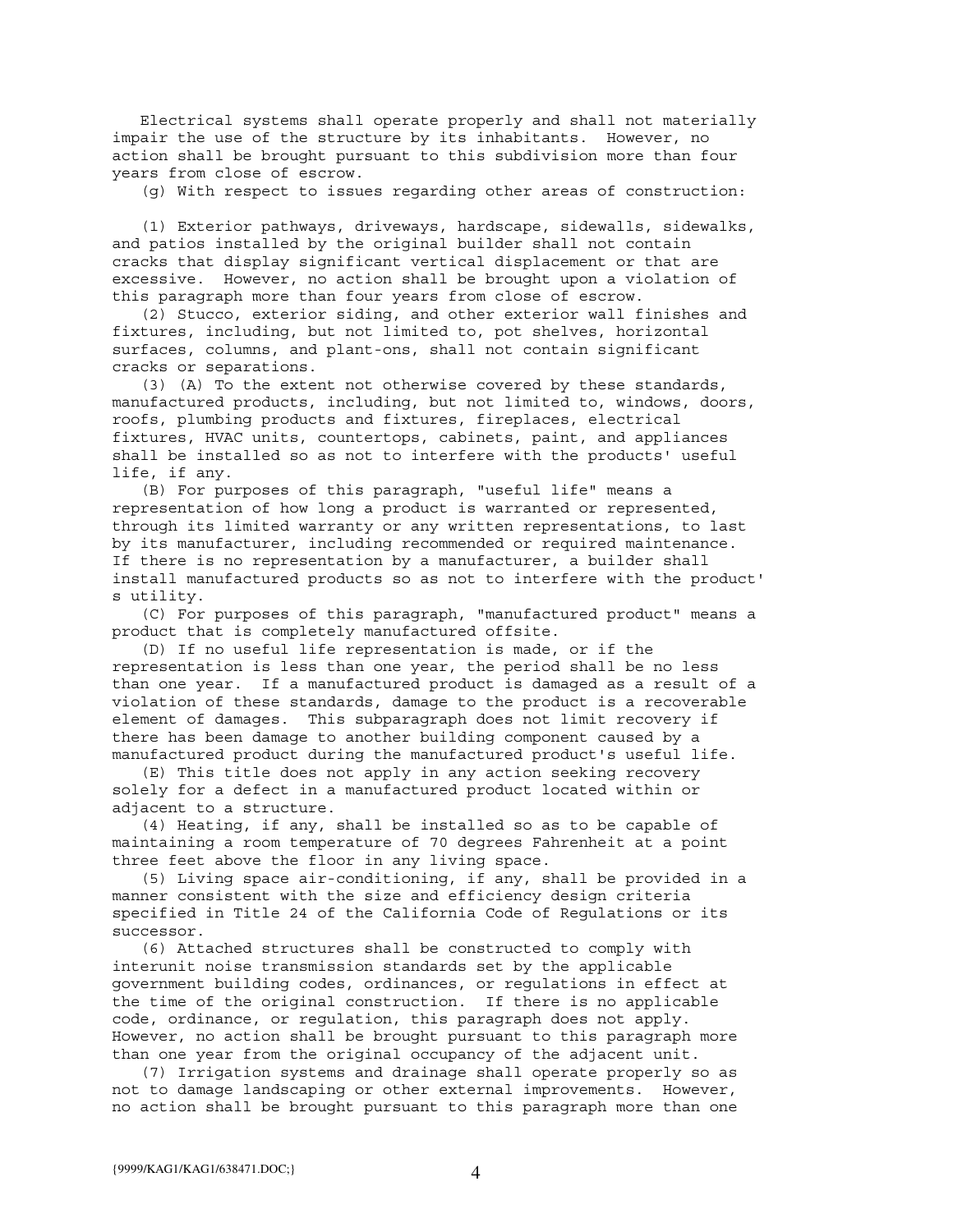Electrical systems shall operate properly and shall not materially impair the use of the structure by its inhabitants. However, no action shall be brought pursuant to this subdivision more than four years from close of escrow.

(g) With respect to issues regarding other areas of construction:

 (1) Exterior pathways, driveways, hardscape, sidewalls, sidewalks, and patios installed by the original builder shall not contain cracks that display significant vertical displacement or that are excessive. However, no action shall be brought upon a violation of this paragraph more than four years from close of escrow.

 (2) Stucco, exterior siding, and other exterior wall finishes and fixtures, including, but not limited to, pot shelves, horizontal surfaces, columns, and plant-ons, shall not contain significant cracks or separations.

 (3) (A) To the extent not otherwise covered by these standards, manufactured products, including, but not limited to, windows, doors, roofs, plumbing products and fixtures, fireplaces, electrical fixtures, HVAC units, countertops, cabinets, paint, and appliances shall be installed so as not to interfere with the products' useful life, if any.

 (B) For purposes of this paragraph, "useful life" means a representation of how long a product is warranted or represented, through its limited warranty or any written representations, to last by its manufacturer, including recommended or required maintenance. If there is no representation by a manufacturer, a builder shall install manufactured products so as not to interfere with the product' s utility.

 (C) For purposes of this paragraph, "manufactured product" means a product that is completely manufactured offsite.

 (D) If no useful life representation is made, or if the representation is less than one year, the period shall be no less than one year. If a manufactured product is damaged as a result of a violation of these standards, damage to the product is a recoverable element of damages. This subparagraph does not limit recovery if there has been damage to another building component caused by a manufactured product during the manufactured product's useful life.

 (E) This title does not apply in any action seeking recovery solely for a defect in a manufactured product located within or adjacent to a structure.

 (4) Heating, if any, shall be installed so as to be capable of maintaining a room temperature of 70 degrees Fahrenheit at a point three feet above the floor in any living space.

 (5) Living space air-conditioning, if any, shall be provided in a manner consistent with the size and efficiency design criteria specified in Title 24 of the California Code of Regulations or its successor.

 (6) Attached structures shall be constructed to comply with interunit noise transmission standards set by the applicable government building codes, ordinances, or regulations in effect at the time of the original construction. If there is no applicable code, ordinance, or regulation, this paragraph does not apply. However, no action shall be brought pursuant to this paragraph more than one year from the original occupancy of the adjacent unit.

 (7) Irrigation systems and drainage shall operate properly so as not to damage landscaping or other external improvements. However, no action shall be brought pursuant to this paragraph more than one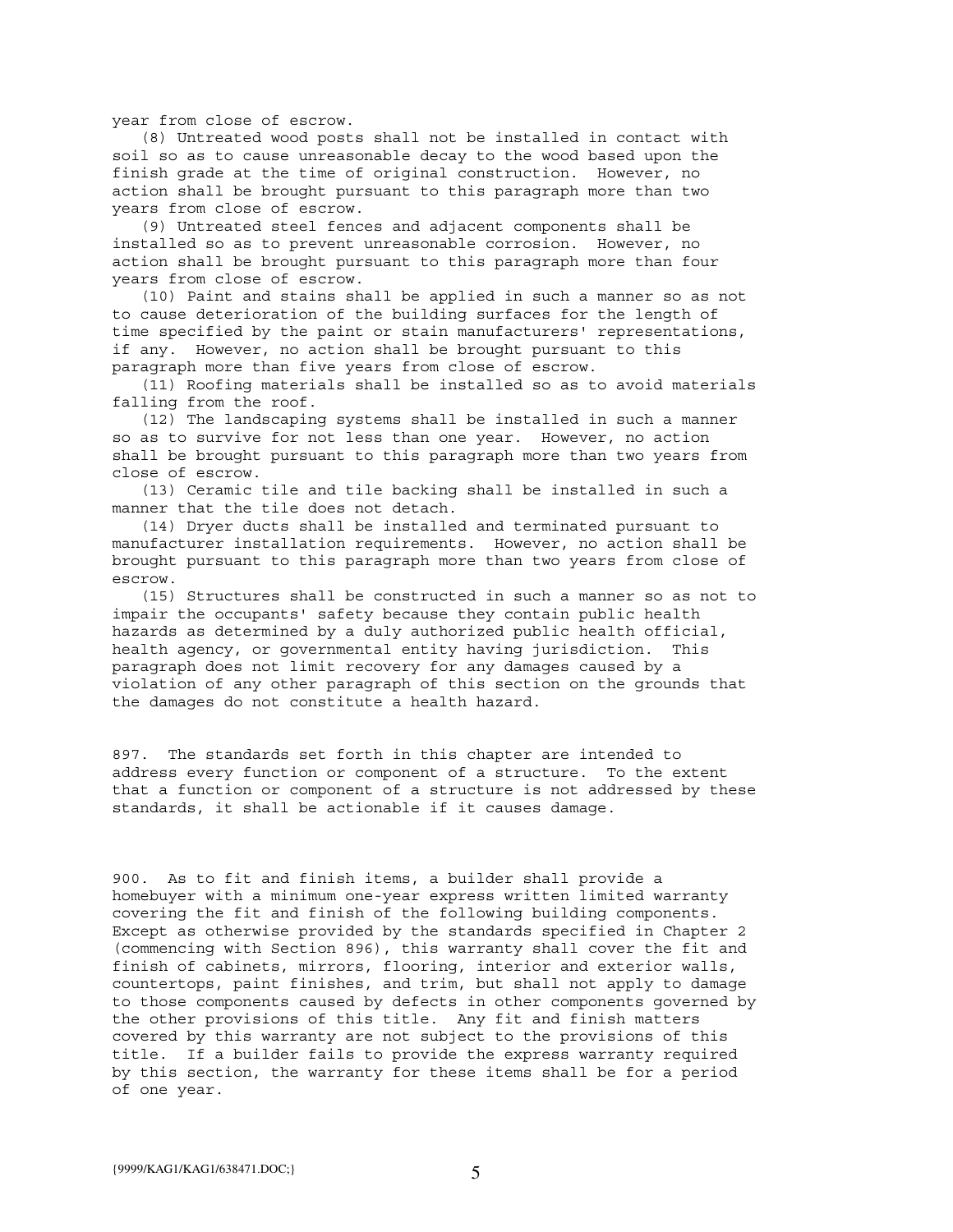year from close of escrow.

 (8) Untreated wood posts shall not be installed in contact with soil so as to cause unreasonable decay to the wood based upon the finish grade at the time of original construction. However, no action shall be brought pursuant to this paragraph more than two years from close of escrow.

 (9) Untreated steel fences and adjacent components shall be installed so as to prevent unreasonable corrosion. However, no action shall be brought pursuant to this paragraph more than four years from close of escrow.

 (10) Paint and stains shall be applied in such a manner so as not to cause deterioration of the building surfaces for the length of time specified by the paint or stain manufacturers' representations, if any. However, no action shall be brought pursuant to this paragraph more than five years from close of escrow.

 (11) Roofing materials shall be installed so as to avoid materials falling from the roof.

 (12) The landscaping systems shall be installed in such a manner so as to survive for not less than one year. However, no action shall be brought pursuant to this paragraph more than two years from close of escrow.

 (13) Ceramic tile and tile backing shall be installed in such a manner that the tile does not detach.

 (14) Dryer ducts shall be installed and terminated pursuant to manufacturer installation requirements. However, no action shall be brought pursuant to this paragraph more than two years from close of escrow.

 (15) Structures shall be constructed in such a manner so as not to impair the occupants' safety because they contain public health hazards as determined by a duly authorized public health official, health agency, or governmental entity having jurisdiction. This paragraph does not limit recovery for any damages caused by a violation of any other paragraph of this section on the grounds that the damages do not constitute a health hazard.

897. The standards set forth in this chapter are intended to address every function or component of a structure. To the extent that a function or component of a structure is not addressed by these standards, it shall be actionable if it causes damage.

900. As to fit and finish items, a builder shall provide a homebuyer with a minimum one-year express written limited warranty covering the fit and finish of the following building components. Except as otherwise provided by the standards specified in Chapter 2 (commencing with Section 896), this warranty shall cover the fit and finish of cabinets, mirrors, flooring, interior and exterior walls, countertops, paint finishes, and trim, but shall not apply to damage to those components caused by defects in other components governed by the other provisions of this title. Any fit and finish matters covered by this warranty are not subject to the provisions of this title. If a builder fails to provide the express warranty required by this section, the warranty for these items shall be for a period of one year.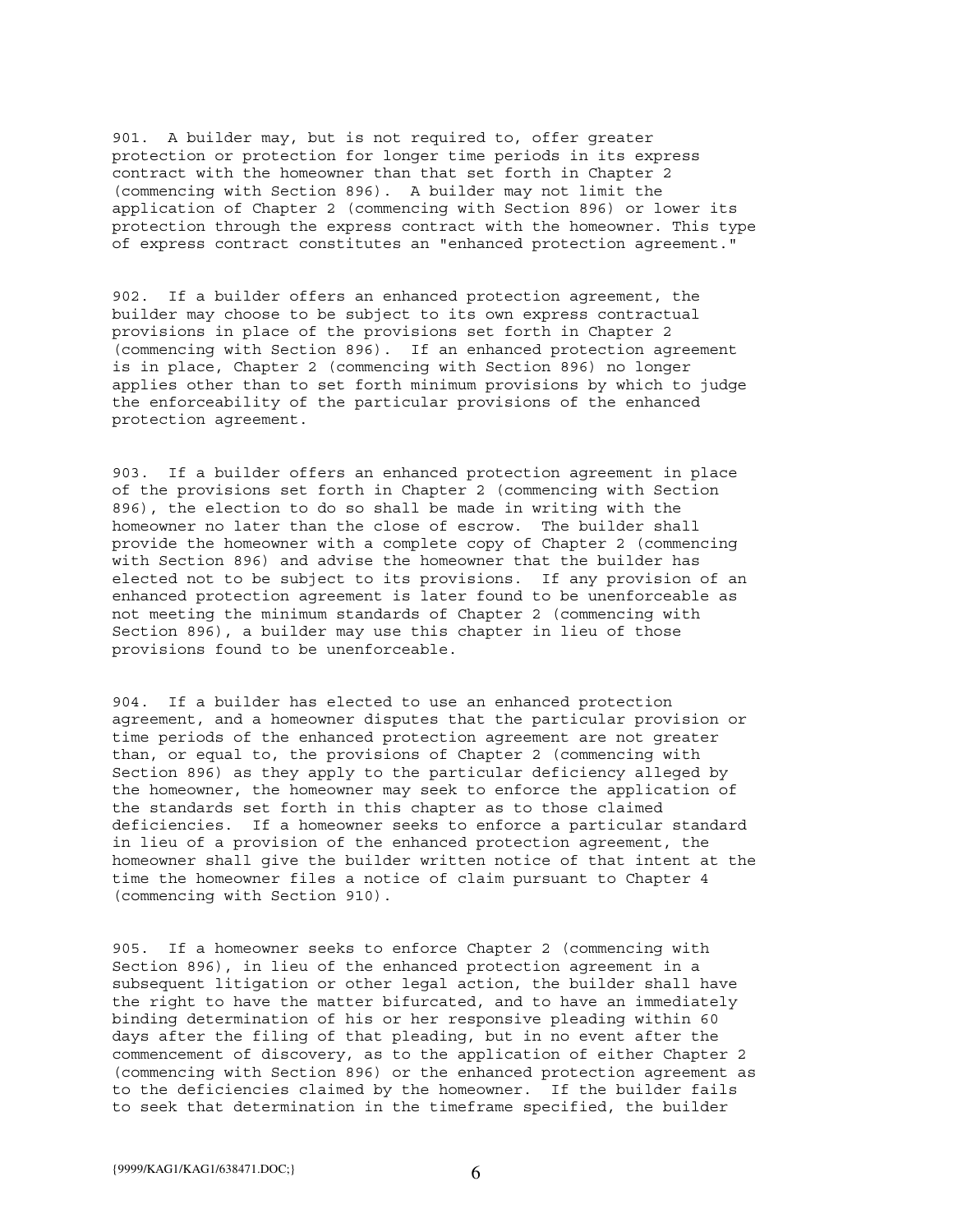901. A builder may, but is not required to, offer greater protection or protection for longer time periods in its express contract with the homeowner than that set forth in Chapter 2 (commencing with Section 896). A builder may not limit the application of Chapter 2 (commencing with Section 896) or lower its protection through the express contract with the homeowner. This type of express contract constitutes an "enhanced protection agreement."

902. If a builder offers an enhanced protection agreement, the builder may choose to be subject to its own express contractual provisions in place of the provisions set forth in Chapter 2 (commencing with Section 896). If an enhanced protection agreement is in place, Chapter 2 (commencing with Section 896) no longer applies other than to set forth minimum provisions by which to judge the enforceability of the particular provisions of the enhanced protection agreement.

903. If a builder offers an enhanced protection agreement in place of the provisions set forth in Chapter 2 (commencing with Section 896), the election to do so shall be made in writing with the homeowner no later than the close of escrow. The builder shall provide the homeowner with a complete copy of Chapter 2 (commencing with Section 896) and advise the homeowner that the builder has elected not to be subject to its provisions. If any provision of an enhanced protection agreement is later found to be unenforceable as not meeting the minimum standards of Chapter 2 (commencing with Section 896), a builder may use this chapter in lieu of those provisions found to be unenforceable.

904. If a builder has elected to use an enhanced protection agreement, and a homeowner disputes that the particular provision or time periods of the enhanced protection agreement are not greater than, or equal to, the provisions of Chapter 2 (commencing with Section 896) as they apply to the particular deficiency alleged by the homeowner, the homeowner may seek to enforce the application of the standards set forth in this chapter as to those claimed deficiencies. If a homeowner seeks to enforce a particular standard in lieu of a provision of the enhanced protection agreement, the homeowner shall give the builder written notice of that intent at the time the homeowner files a notice of claim pursuant to Chapter 4 (commencing with Section 910).

905. If a homeowner seeks to enforce Chapter 2 (commencing with Section 896), in lieu of the enhanced protection agreement in a subsequent litigation or other legal action, the builder shall have the right to have the matter bifurcated, and to have an immediately binding determination of his or her responsive pleading within 60 days after the filing of that pleading, but in no event after the commencement of discovery, as to the application of either Chapter 2 (commencing with Section 896) or the enhanced protection agreement as to the deficiencies claimed by the homeowner. If the builder fails to seek that determination in the timeframe specified, the builder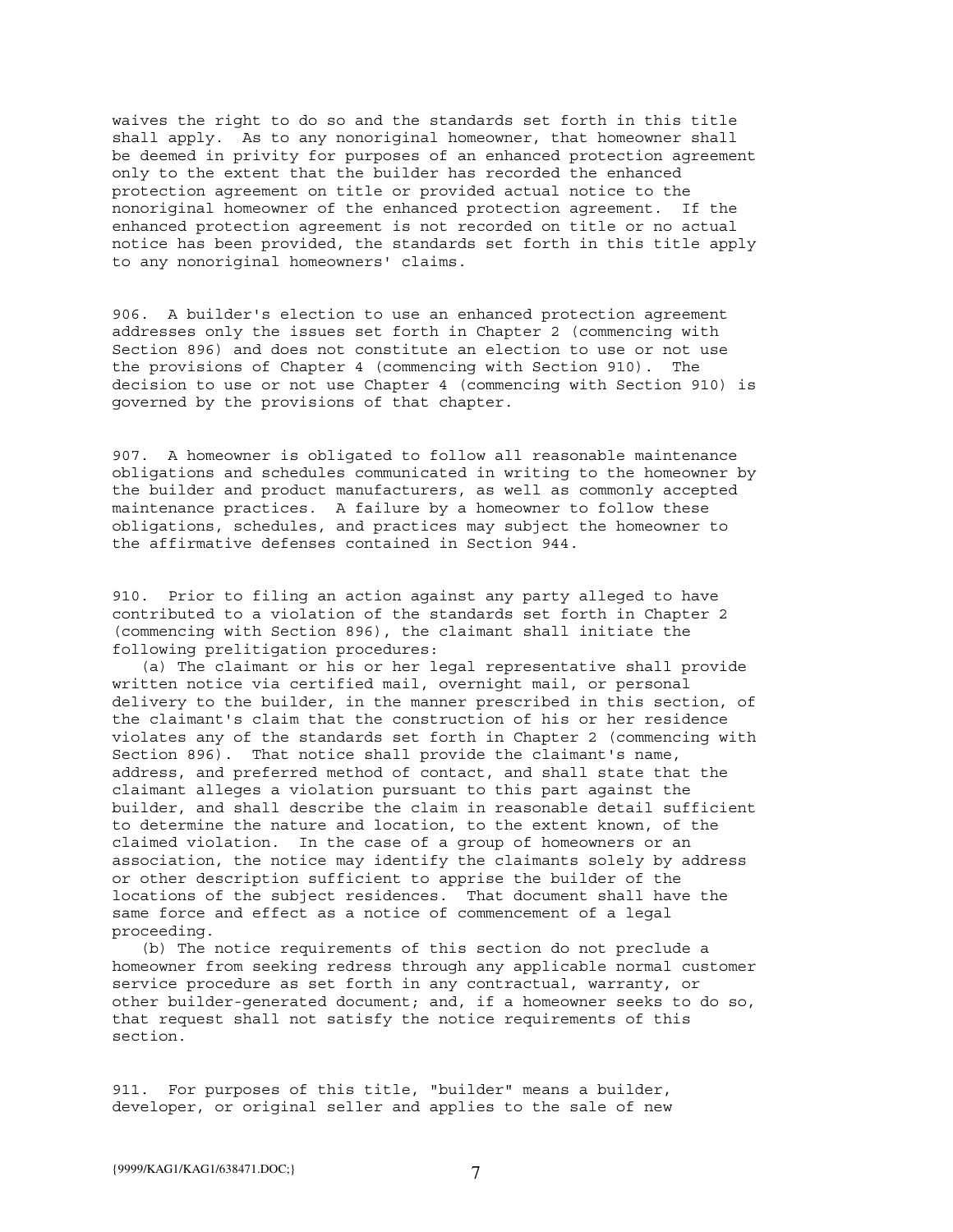waives the right to do so and the standards set forth in this title shall apply. As to any nonoriginal homeowner, that homeowner shall be deemed in privity for purposes of an enhanced protection agreement only to the extent that the builder has recorded the enhanced protection agreement on title or provided actual notice to the nonoriginal homeowner of the enhanced protection agreement. If the enhanced protection agreement is not recorded on title or no actual notice has been provided, the standards set forth in this title apply to any nonoriginal homeowners' claims.

906. A builder's election to use an enhanced protection agreement addresses only the issues set forth in Chapter 2 (commencing with Section 896) and does not constitute an election to use or not use the provisions of Chapter 4 (commencing with Section 910). The decision to use or not use Chapter 4 (commencing with Section 910) is governed by the provisions of that chapter.

907. A homeowner is obligated to follow all reasonable maintenance obligations and schedules communicated in writing to the homeowner by the builder and product manufacturers, as well as commonly accepted maintenance practices. A failure by a homeowner to follow these obligations, schedules, and practices may subject the homeowner to the affirmative defenses contained in Section 944.

910. Prior to filing an action against any party alleged to have contributed to a violation of the standards set forth in Chapter 2 (commencing with Section 896), the claimant shall initiate the following prelitigation procedures:

 (a) The claimant or his or her legal representative shall provide written notice via certified mail, overnight mail, or personal delivery to the builder, in the manner prescribed in this section, of the claimant's claim that the construction of his or her residence violates any of the standards set forth in Chapter 2 (commencing with Section 896). That notice shall provide the claimant's name, address, and preferred method of contact, and shall state that the claimant alleges a violation pursuant to this part against the builder, and shall describe the claim in reasonable detail sufficient to determine the nature and location, to the extent known, of the claimed violation. In the case of a group of homeowners or an association, the notice may identify the claimants solely by address or other description sufficient to apprise the builder of the locations of the subject residences. That document shall have the same force and effect as a notice of commencement of a legal proceeding.

 (b) The notice requirements of this section do not preclude a homeowner from seeking redress through any applicable normal customer service procedure as set forth in any contractual, warranty, or other builder-generated document; and, if a homeowner seeks to do so, that request shall not satisfy the notice requirements of this section.

911. For purposes of this title, "builder" means a builder, developer, or original seller and applies to the sale of new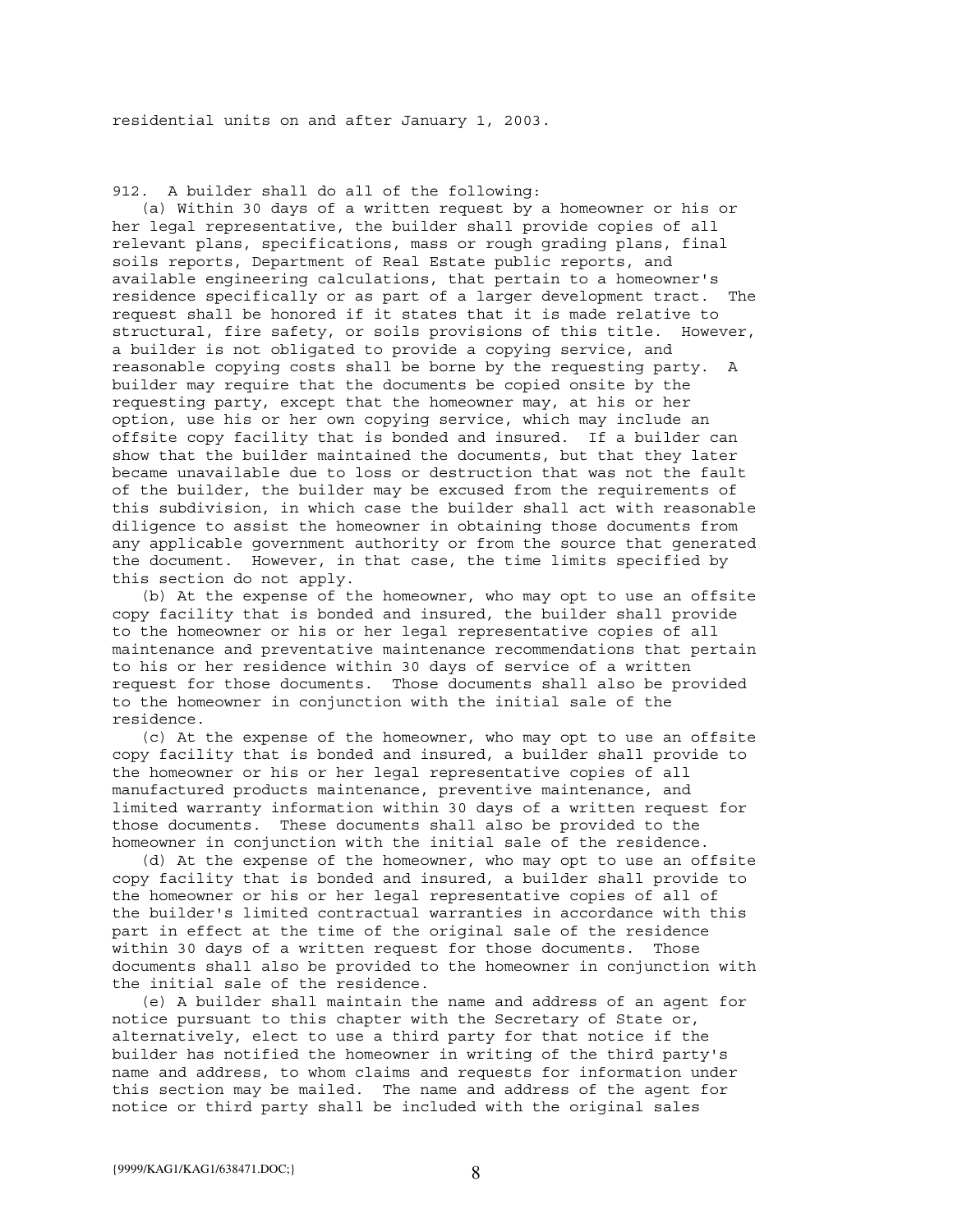residential units on and after January 1, 2003.

912. A builder shall do all of the following:

 (a) Within 30 days of a written request by a homeowner or his or her legal representative, the builder shall provide copies of all relevant plans, specifications, mass or rough grading plans, final soils reports, Department of Real Estate public reports, and available engineering calculations, that pertain to a homeowner's residence specifically or as part of a larger development tract. The request shall be honored if it states that it is made relative to structural, fire safety, or soils provisions of this title. However, a builder is not obligated to provide a copying service, and reasonable copying costs shall be borne by the requesting party. A builder may require that the documents be copied onsite by the requesting party, except that the homeowner may, at his or her option, use his or her own copying service, which may include an offsite copy facility that is bonded and insured. If a builder can show that the builder maintained the documents, but that they later became unavailable due to loss or destruction that was not the fault of the builder, the builder may be excused from the requirements of this subdivision, in which case the builder shall act with reasonable diligence to assist the homeowner in obtaining those documents from any applicable government authority or from the source that generated the document. However, in that case, the time limits specified by this section do not apply.

 (b) At the expense of the homeowner, who may opt to use an offsite copy facility that is bonded and insured, the builder shall provide to the homeowner or his or her legal representative copies of all maintenance and preventative maintenance recommendations that pertain to his or her residence within 30 days of service of a written request for those documents. Those documents shall also be provided to the homeowner in conjunction with the initial sale of the residence.

 (c) At the expense of the homeowner, who may opt to use an offsite copy facility that is bonded and insured, a builder shall provide to the homeowner or his or her legal representative copies of all manufactured products maintenance, preventive maintenance, and limited warranty information within 30 days of a written request for those documents. These documents shall also be provided to the homeowner in conjunction with the initial sale of the residence.

 (d) At the expense of the homeowner, who may opt to use an offsite copy facility that is bonded and insured, a builder shall provide to the homeowner or his or her legal representative copies of all of the builder's limited contractual warranties in accordance with this part in effect at the time of the original sale of the residence within 30 days of a written request for those documents. Those documents shall also be provided to the homeowner in conjunction with the initial sale of the residence.

 (e) A builder shall maintain the name and address of an agent for notice pursuant to this chapter with the Secretary of State or, alternatively, elect to use a third party for that notice if the builder has notified the homeowner in writing of the third party's name and address, to whom claims and requests for information under this section may be mailed. The name and address of the agent for notice or third party shall be included with the original sales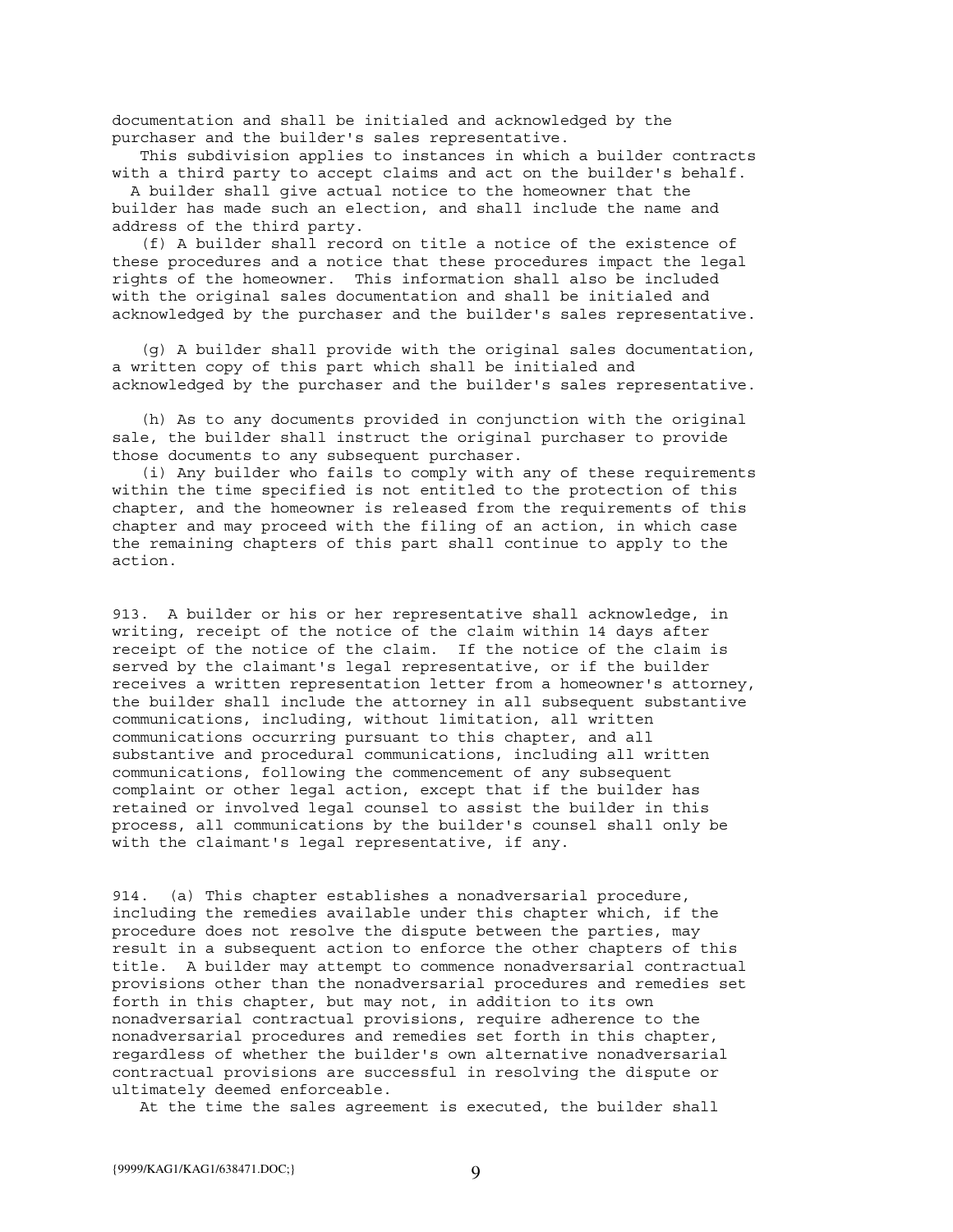documentation and shall be initialed and acknowledged by the purchaser and the builder's sales representative.

 This subdivision applies to instances in which a builder contracts with a third party to accept claims and act on the builder's behalf.

 A builder shall give actual notice to the homeowner that the builder has made such an election, and shall include the name and address of the third party.

 (f) A builder shall record on title a notice of the existence of these procedures and a notice that these procedures impact the legal rights of the homeowner. This information shall also be included with the original sales documentation and shall be initialed and acknowledged by the purchaser and the builder's sales representative.

 (g) A builder shall provide with the original sales documentation, a written copy of this part which shall be initialed and acknowledged by the purchaser and the builder's sales representative.

 (h) As to any documents provided in conjunction with the original sale, the builder shall instruct the original purchaser to provide those documents to any subsequent purchaser.

 (i) Any builder who fails to comply with any of these requirements within the time specified is not entitled to the protection of this chapter, and the homeowner is released from the requirements of this chapter and may proceed with the filing of an action, in which case the remaining chapters of this part shall continue to apply to the action.

913. A builder or his or her representative shall acknowledge, in writing, receipt of the notice of the claim within 14 days after receipt of the notice of the claim. If the notice of the claim is served by the claimant's legal representative, or if the builder receives a written representation letter from a homeowner's attorney, the builder shall include the attorney in all subsequent substantive communications, including, without limitation, all written communications occurring pursuant to this chapter, and all substantive and procedural communications, including all written communications, following the commencement of any subsequent complaint or other legal action, except that if the builder has retained or involved legal counsel to assist the builder in this process, all communications by the builder's counsel shall only be with the claimant's legal representative, if any.

914. (a) This chapter establishes a nonadversarial procedure, including the remedies available under this chapter which, if the procedure does not resolve the dispute between the parties, may result in a subsequent action to enforce the other chapters of this title. A builder may attempt to commence nonadversarial contractual provisions other than the nonadversarial procedures and remedies set forth in this chapter, but may not, in addition to its own nonadversarial contractual provisions, require adherence to the nonadversarial procedures and remedies set forth in this chapter, regardless of whether the builder's own alternative nonadversarial contractual provisions are successful in resolving the dispute or ultimately deemed enforceable.

At the time the sales agreement is executed, the builder shall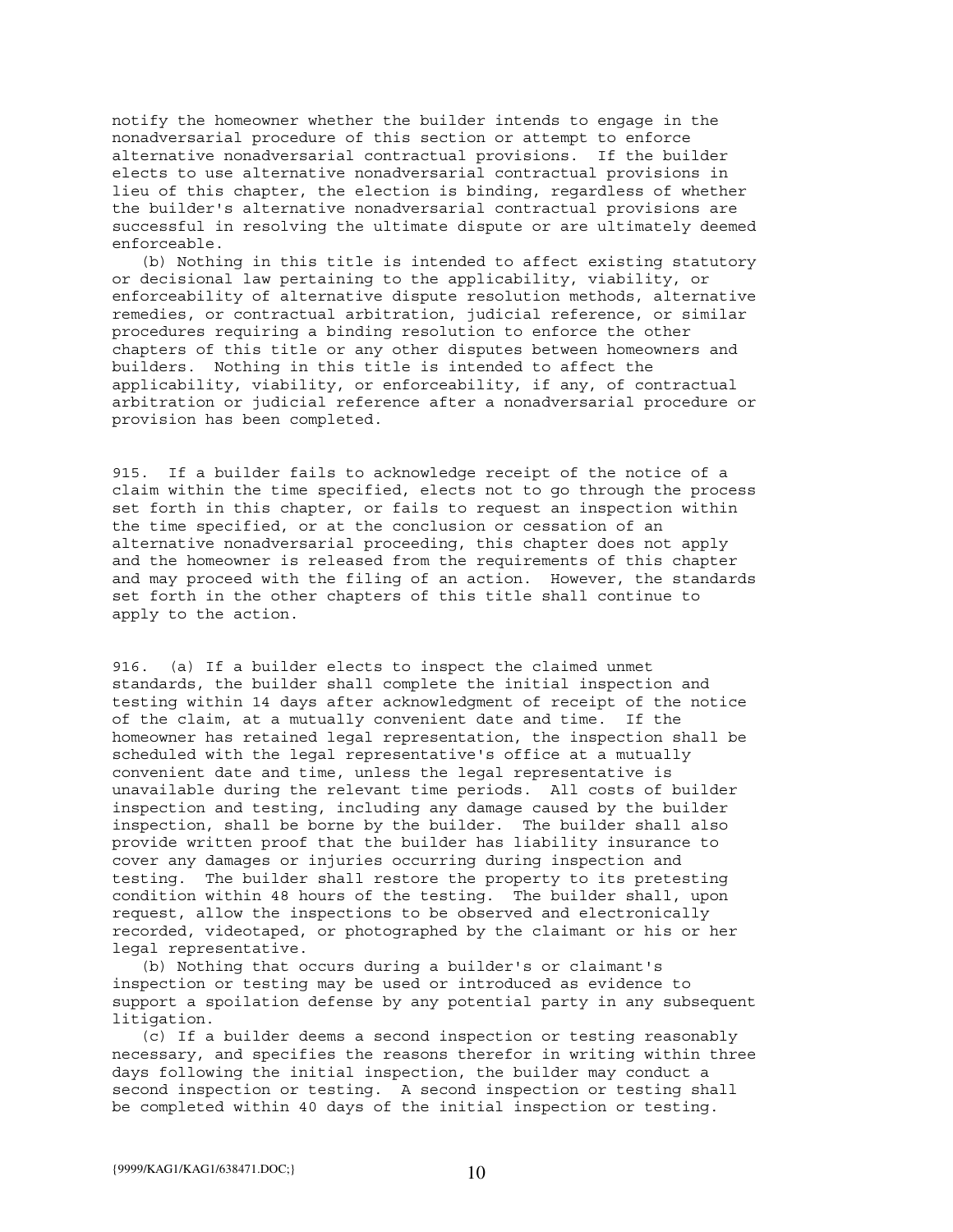notify the homeowner whether the builder intends to engage in the nonadversarial procedure of this section or attempt to enforce alternative nonadversarial contractual provisions. If the builder elects to use alternative nonadversarial contractual provisions in lieu of this chapter, the election is binding, regardless of whether the builder's alternative nonadversarial contractual provisions are successful in resolving the ultimate dispute or are ultimately deemed enforceable.

 (b) Nothing in this title is intended to affect existing statutory or decisional law pertaining to the applicability, viability, or enforceability of alternative dispute resolution methods, alternative remedies, or contractual arbitration, judicial reference, or similar procedures requiring a binding resolution to enforce the other chapters of this title or any other disputes between homeowners and builders. Nothing in this title is intended to affect the applicability, viability, or enforceability, if any, of contractual arbitration or judicial reference after a nonadversarial procedure or provision has been completed.

915. If a builder fails to acknowledge receipt of the notice of a claim within the time specified, elects not to go through the process set forth in this chapter, or fails to request an inspection within the time specified, or at the conclusion or cessation of an alternative nonadversarial proceeding, this chapter does not apply and the homeowner is released from the requirements of this chapter and may proceed with the filing of an action. However, the standards set forth in the other chapters of this title shall continue to apply to the action.

916. (a) If a builder elects to inspect the claimed unmet standards, the builder shall complete the initial inspection and testing within 14 days after acknowledgment of receipt of the notice of the claim, at a mutually convenient date and time. If the homeowner has retained legal representation, the inspection shall be scheduled with the legal representative's office at a mutually convenient date and time, unless the legal representative is unavailable during the relevant time periods. All costs of builder inspection and testing, including any damage caused by the builder inspection, shall be borne by the builder. The builder shall also provide written proof that the builder has liability insurance to cover any damages or injuries occurring during inspection and testing. The builder shall restore the property to its pretesting condition within 48 hours of the testing. The builder shall, upon request, allow the inspections to be observed and electronically recorded, videotaped, or photographed by the claimant or his or her legal representative.

 (b) Nothing that occurs during a builder's or claimant's inspection or testing may be used or introduced as evidence to support a spoilation defense by any potential party in any subsequent litigation.

 (c) If a builder deems a second inspection or testing reasonably necessary, and specifies the reasons therefor in writing within three days following the initial inspection, the builder may conduct a second inspection or testing. A second inspection or testing shall be completed within 40 days of the initial inspection or testing.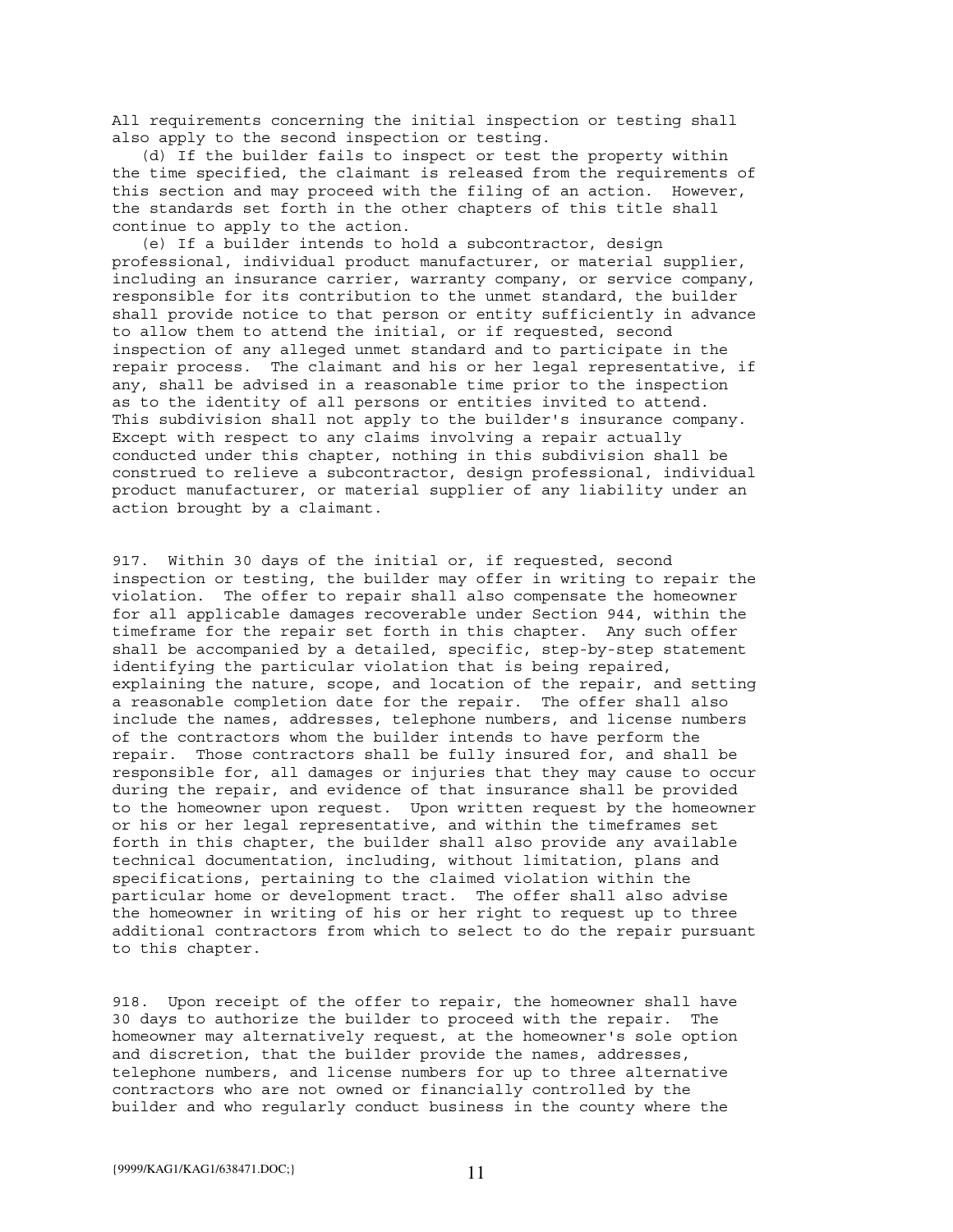All requirements concerning the initial inspection or testing shall also apply to the second inspection or testing.

 (d) If the builder fails to inspect or test the property within the time specified, the claimant is released from the requirements of this section and may proceed with the filing of an action. However, the standards set forth in the other chapters of this title shall continue to apply to the action.

 (e) If a builder intends to hold a subcontractor, design professional, individual product manufacturer, or material supplier, including an insurance carrier, warranty company, or service company, responsible for its contribution to the unmet standard, the builder shall provide notice to that person or entity sufficiently in advance to allow them to attend the initial, or if requested, second inspection of any alleged unmet standard and to participate in the repair process. The claimant and his or her legal representative, if any, shall be advised in a reasonable time prior to the inspection as to the identity of all persons or entities invited to attend. This subdivision shall not apply to the builder's insurance company. Except with respect to any claims involving a repair actually conducted under this chapter, nothing in this subdivision shall be construed to relieve a subcontractor, design professional, individual product manufacturer, or material supplier of any liability under an action brought by a claimant.

917. Within 30 days of the initial or, if requested, second inspection or testing, the builder may offer in writing to repair the violation. The offer to repair shall also compensate the homeowner for all applicable damages recoverable under Section 944, within the timeframe for the repair set forth in this chapter. Any such offer shall be accompanied by a detailed, specific, step-by-step statement identifying the particular violation that is being repaired, explaining the nature, scope, and location of the repair, and setting a reasonable completion date for the repair. The offer shall also include the names, addresses, telephone numbers, and license numbers of the contractors whom the builder intends to have perform the repair. Those contractors shall be fully insured for, and shall be responsible for, all damages or injuries that they may cause to occur during the repair, and evidence of that insurance shall be provided to the homeowner upon request. Upon written request by the homeowner or his or her legal representative, and within the timeframes set forth in this chapter, the builder shall also provide any available technical documentation, including, without limitation, plans and specifications, pertaining to the claimed violation within the particular home or development tract. The offer shall also advise the homeowner in writing of his or her right to request up to three additional contractors from which to select to do the repair pursuant to this chapter.

918. Upon receipt of the offer to repair, the homeowner shall have 30 days to authorize the builder to proceed with the repair. The homeowner may alternatively request, at the homeowner's sole option and discretion, that the builder provide the names, addresses, telephone numbers, and license numbers for up to three alternative contractors who are not owned or financially controlled by the builder and who regularly conduct business in the county where the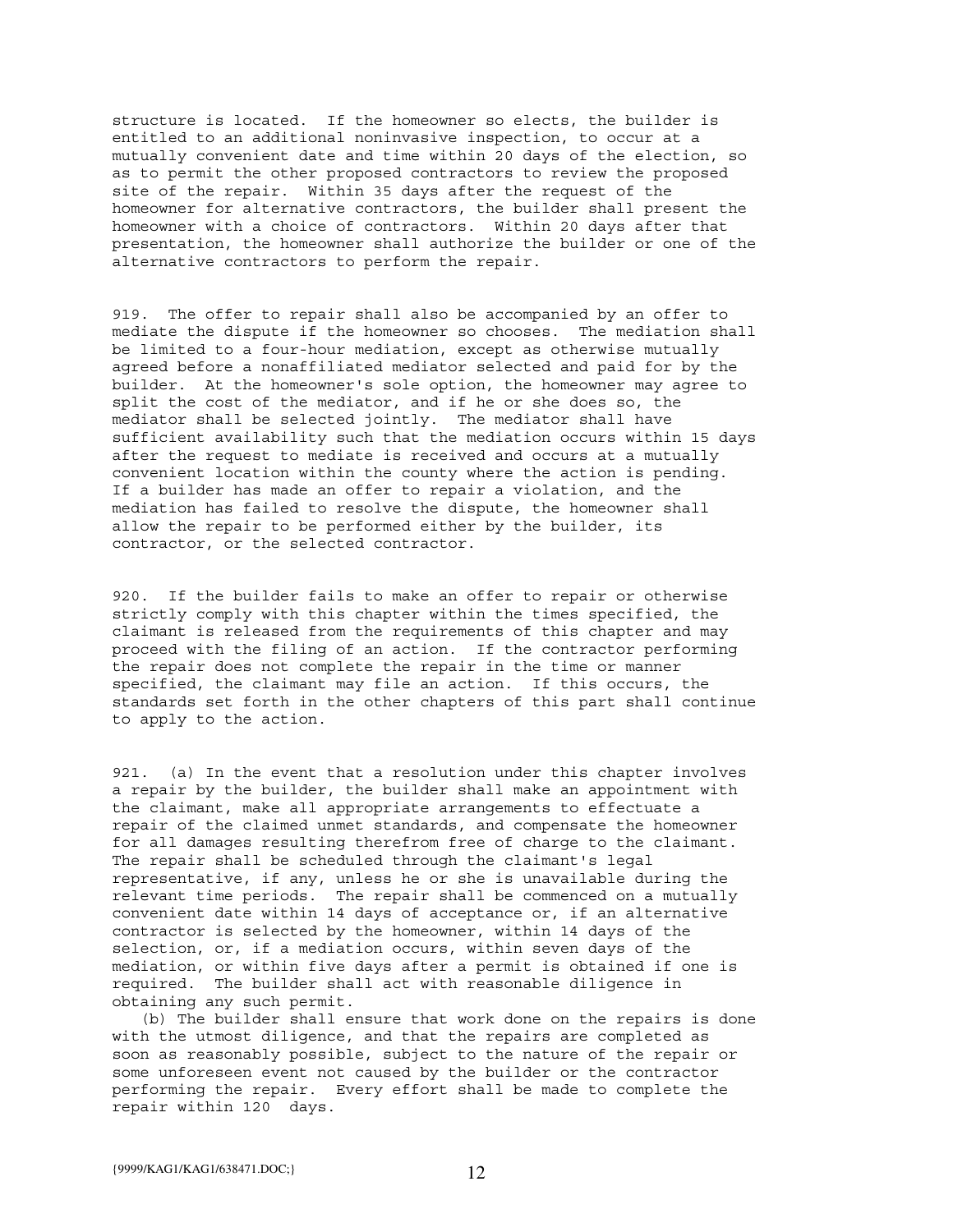structure is located. If the homeowner so elects, the builder is entitled to an additional noninvasive inspection, to occur at a mutually convenient date and time within 20 days of the election, so as to permit the other proposed contractors to review the proposed site of the repair. Within 35 days after the request of the homeowner for alternative contractors, the builder shall present the homeowner with a choice of contractors. Within 20 days after that presentation, the homeowner shall authorize the builder or one of the alternative contractors to perform the repair.

919. The offer to repair shall also be accompanied by an offer to mediate the dispute if the homeowner so chooses. The mediation shall be limited to a four-hour mediation, except as otherwise mutually agreed before a nonaffiliated mediator selected and paid for by the builder. At the homeowner's sole option, the homeowner may agree to split the cost of the mediator, and if he or she does so, the mediator shall be selected jointly. The mediator shall have sufficient availability such that the mediation occurs within 15 days after the request to mediate is received and occurs at a mutually convenient location within the county where the action is pending. If a builder has made an offer to repair a violation, and the mediation has failed to resolve the dispute, the homeowner shall allow the repair to be performed either by the builder, its contractor, or the selected contractor.

920. If the builder fails to make an offer to repair or otherwise strictly comply with this chapter within the times specified, the claimant is released from the requirements of this chapter and may proceed with the filing of an action. If the contractor performing the repair does not complete the repair in the time or manner specified, the claimant may file an action. If this occurs, the standards set forth in the other chapters of this part shall continue to apply to the action.

921. (a) In the event that a resolution under this chapter involves a repair by the builder, the builder shall make an appointment with the claimant, make all appropriate arrangements to effectuate a repair of the claimed unmet standards, and compensate the homeowner for all damages resulting therefrom free of charge to the claimant. The repair shall be scheduled through the claimant's legal representative, if any, unless he or she is unavailable during the relevant time periods. The repair shall be commenced on a mutually convenient date within 14 days of acceptance or, if an alternative contractor is selected by the homeowner, within 14 days of the selection, or, if a mediation occurs, within seven days of the mediation, or within five days after a permit is obtained if one is required. The builder shall act with reasonable diligence in obtaining any such permit.

 (b) The builder shall ensure that work done on the repairs is done with the utmost diligence, and that the repairs are completed as soon as reasonably possible, subject to the nature of the repair or some unforeseen event not caused by the builder or the contractor performing the repair. Every effort shall be made to complete the repair within 120 days.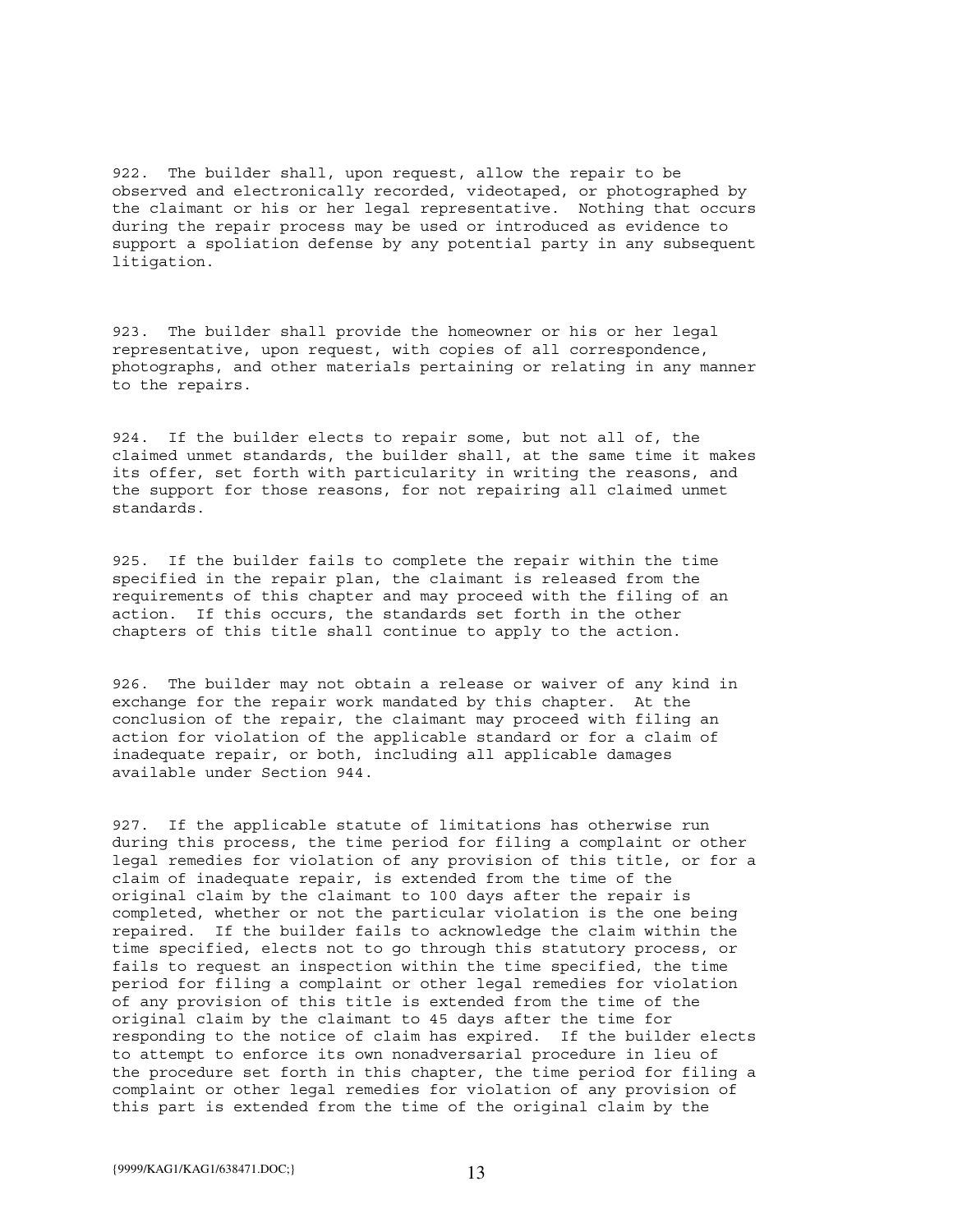922. The builder shall, upon request, allow the repair to be observed and electronically recorded, videotaped, or photographed by the claimant or his or her legal representative. Nothing that occurs during the repair process may be used or introduced as evidence to support a spoliation defense by any potential party in any subsequent litigation.

923. The builder shall provide the homeowner or his or her legal representative, upon request, with copies of all correspondence, photographs, and other materials pertaining or relating in any manner to the repairs.

924. If the builder elects to repair some, but not all of, the claimed unmet standards, the builder shall, at the same time it makes its offer, set forth with particularity in writing the reasons, and the support for those reasons, for not repairing all claimed unmet standards.

925. If the builder fails to complete the repair within the time specified in the repair plan, the claimant is released from the requirements of this chapter and may proceed with the filing of an action. If this occurs, the standards set forth in the other chapters of this title shall continue to apply to the action.

926. The builder may not obtain a release or waiver of any kind in exchange for the repair work mandated by this chapter. At the conclusion of the repair, the claimant may proceed with filing an action for violation of the applicable standard or for a claim of inadequate repair, or both, including all applicable damages available under Section 944.

927. If the applicable statute of limitations has otherwise run during this process, the time period for filing a complaint or other legal remedies for violation of any provision of this title, or for a claim of inadequate repair, is extended from the time of the original claim by the claimant to 100 days after the repair is completed, whether or not the particular violation is the one being repaired. If the builder fails to acknowledge the claim within the time specified, elects not to go through this statutory process, or fails to request an inspection within the time specified, the time period for filing a complaint or other legal remedies for violation of any provision of this title is extended from the time of the original claim by the claimant to 45 days after the time for responding to the notice of claim has expired. If the builder elects to attempt to enforce its own nonadversarial procedure in lieu of the procedure set forth in this chapter, the time period for filing a complaint or other legal remedies for violation of any provision of this part is extended from the time of the original claim by the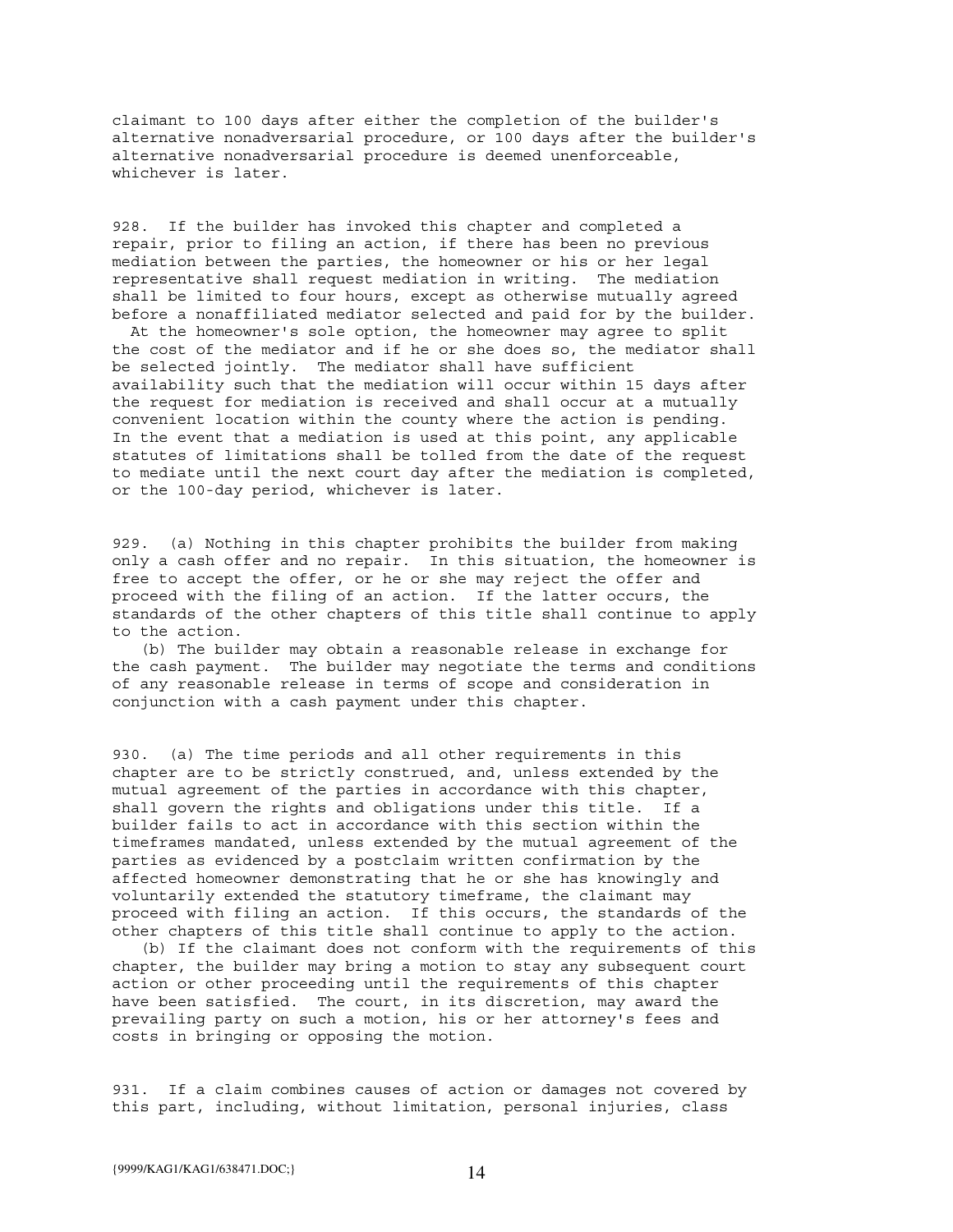claimant to 100 days after either the completion of the builder's alternative nonadversarial procedure, or 100 days after the builder's alternative nonadversarial procedure is deemed unenforceable, whichever is later.

928. If the builder has invoked this chapter and completed a repair, prior to filing an action, if there has been no previous mediation between the parties, the homeowner or his or her legal representative shall request mediation in writing. The mediation shall be limited to four hours, except as otherwise mutually agreed before a nonaffiliated mediator selected and paid for by the builder.

 At the homeowner's sole option, the homeowner may agree to split the cost of the mediator and if he or she does so, the mediator shall be selected jointly. The mediator shall have sufficient availability such that the mediation will occur within 15 days after the request for mediation is received and shall occur at a mutually convenient location within the county where the action is pending. In the event that a mediation is used at this point, any applicable statutes of limitations shall be tolled from the date of the request to mediate until the next court day after the mediation is completed, or the 100-day period, whichever is later.

929. (a) Nothing in this chapter prohibits the builder from making only a cash offer and no repair. In this situation, the homeowner is free to accept the offer, or he or she may reject the offer and proceed with the filing of an action. If the latter occurs, the standards of the other chapters of this title shall continue to apply to the action.

 (b) The builder may obtain a reasonable release in exchange for the cash payment. The builder may negotiate the terms and conditions of any reasonable release in terms of scope and consideration in conjunction with a cash payment under this chapter.

930. (a) The time periods and all other requirements in this chapter are to be strictly construed, and, unless extended by the mutual agreement of the parties in accordance with this chapter, shall govern the rights and obligations under this title. If a builder fails to act in accordance with this section within the timeframes mandated, unless extended by the mutual agreement of the parties as evidenced by a postclaim written confirmation by the affected homeowner demonstrating that he or she has knowingly and voluntarily extended the statutory timeframe, the claimant may proceed with filing an action. If this occurs, the standards of the other chapters of this title shall continue to apply to the action.

 (b) If the claimant does not conform with the requirements of this chapter, the builder may bring a motion to stay any subsequent court action or other proceeding until the requirements of this chapter have been satisfied. The court, in its discretion, may award the prevailing party on such a motion, his or her attorney's fees and costs in bringing or opposing the motion.

931. If a claim combines causes of action or damages not covered by this part, including, without limitation, personal injuries, class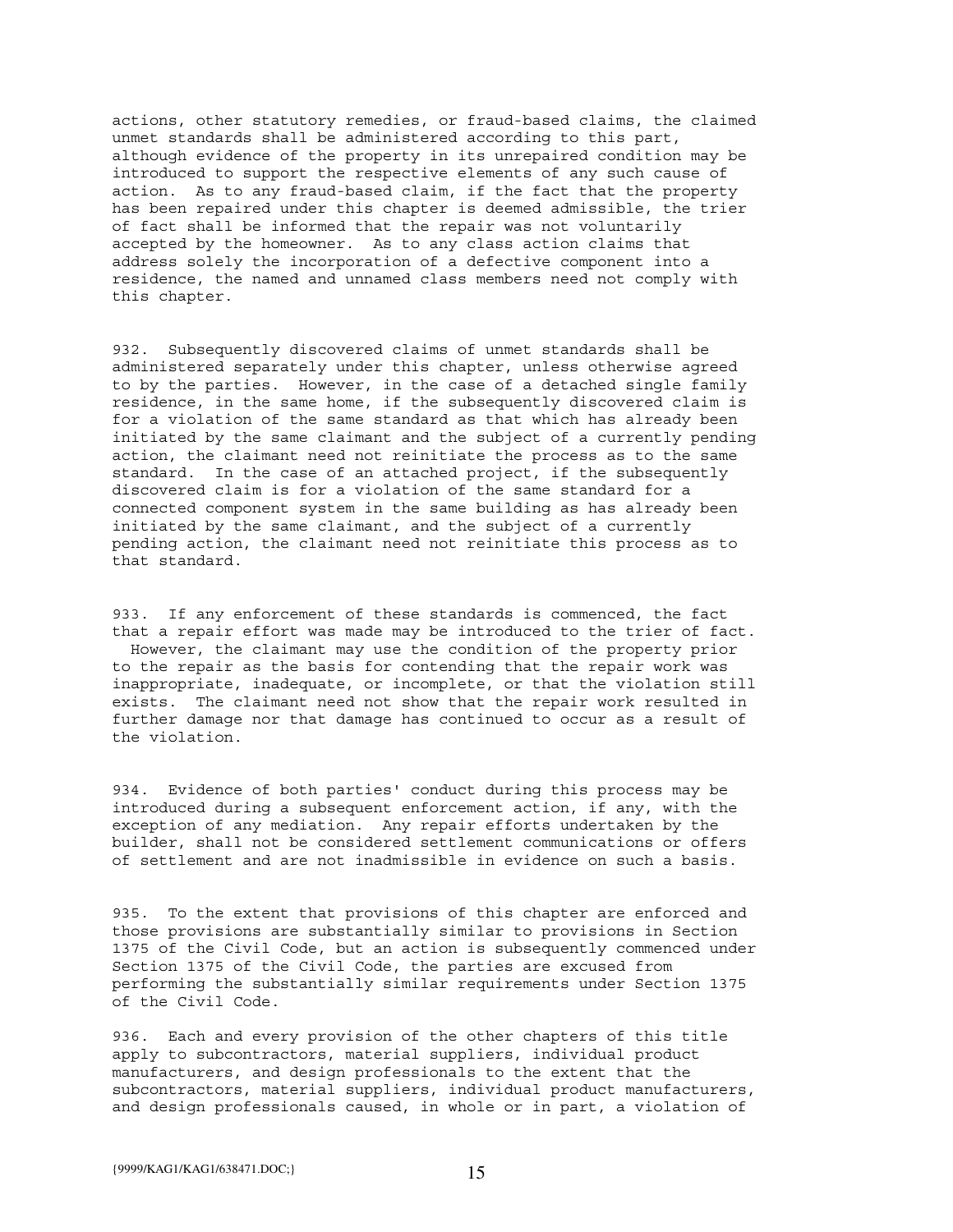actions, other statutory remedies, or fraud-based claims, the claimed unmet standards shall be administered according to this part, although evidence of the property in its unrepaired condition may be introduced to support the respective elements of any such cause of action. As to any fraud-based claim, if the fact that the property has been repaired under this chapter is deemed admissible, the trier of fact shall be informed that the repair was not voluntarily accepted by the homeowner. As to any class action claims that address solely the incorporation of a defective component into a residence, the named and unnamed class members need not comply with this chapter.

932. Subsequently discovered claims of unmet standards shall be administered separately under this chapter, unless otherwise agreed to by the parties. However, in the case of a detached single family residence, in the same home, if the subsequently discovered claim is for a violation of the same standard as that which has already been initiated by the same claimant and the subject of a currently pending action, the claimant need not reinitiate the process as to the same standard. In the case of an attached project, if the subsequently discovered claim is for a violation of the same standard for a connected component system in the same building as has already been initiated by the same claimant, and the subject of a currently pending action, the claimant need not reinitiate this process as to that standard.

933. If any enforcement of these standards is commenced, the fact that a repair effort was made may be introduced to the trier of fact. However, the claimant may use the condition of the property prior to the repair as the basis for contending that the repair work was inappropriate, inadequate, or incomplete, or that the violation still exists. The claimant need not show that the repair work resulted in further damage nor that damage has continued to occur as a result of the violation.

934. Evidence of both parties' conduct during this process may be introduced during a subsequent enforcement action, if any, with the exception of any mediation. Any repair efforts undertaken by the builder, shall not be considered settlement communications or offers of settlement and are not inadmissible in evidence on such a basis.

935. To the extent that provisions of this chapter are enforced and those provisions are substantially similar to provisions in Section 1375 of the Civil Code, but an action is subsequently commenced under Section 1375 of the Civil Code, the parties are excused from performing the substantially similar requirements under Section 1375 of the Civil Code.

936. Each and every provision of the other chapters of this title apply to subcontractors, material suppliers, individual product manufacturers, and design professionals to the extent that the subcontractors, material suppliers, individual product manufacturers, and design professionals caused, in whole or in part, a violation of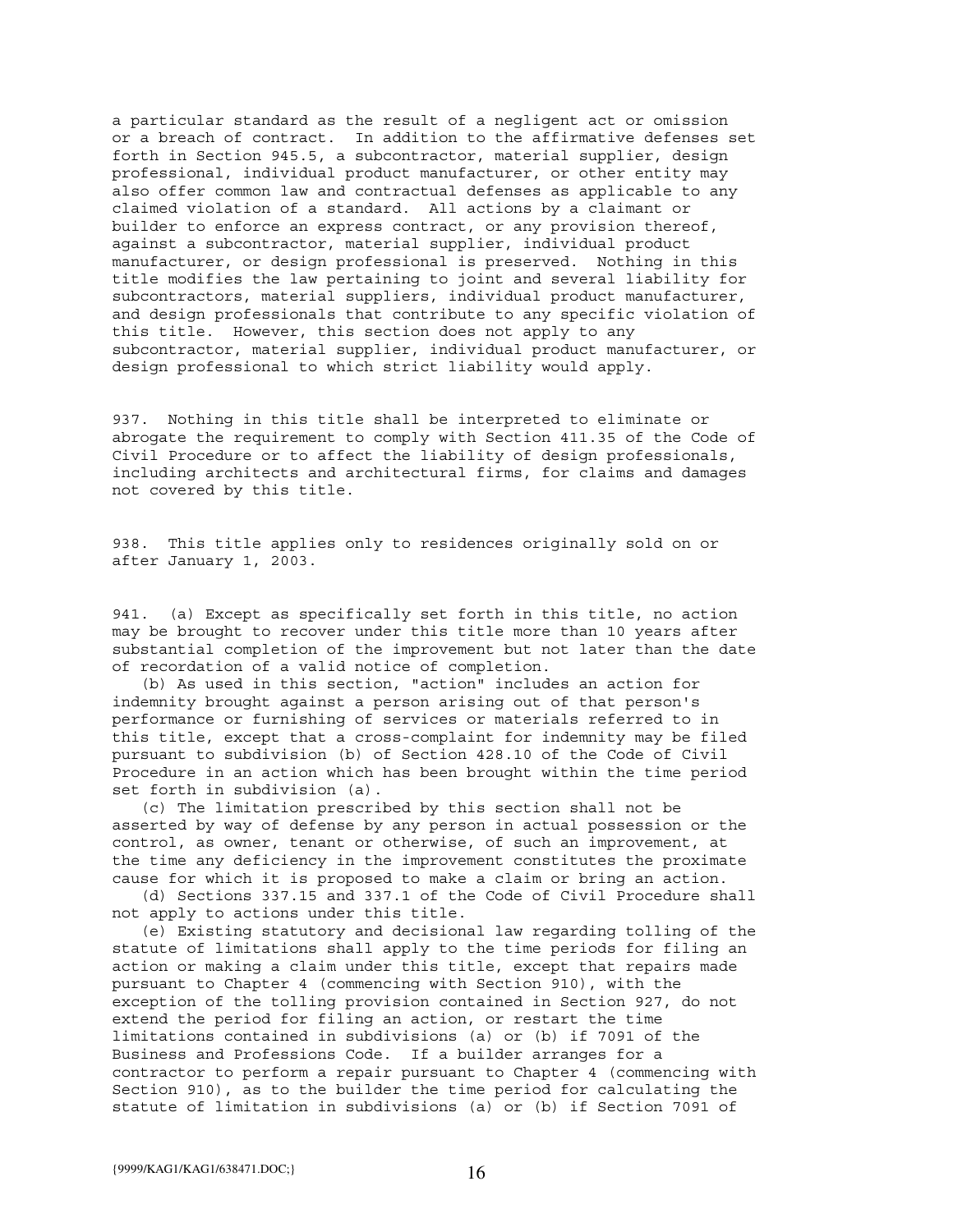a particular standard as the result of a negligent act or omission or a breach of contract. In addition to the affirmative defenses set forth in Section 945.5, a subcontractor, material supplier, design professional, individual product manufacturer, or other entity may also offer common law and contractual defenses as applicable to any claimed violation of a standard. All actions by a claimant or builder to enforce an express contract, or any provision thereof, against a subcontractor, material supplier, individual product manufacturer, or design professional is preserved. Nothing in this title modifies the law pertaining to joint and several liability for subcontractors, material suppliers, individual product manufacturer, and design professionals that contribute to any specific violation of this title. However, this section does not apply to any subcontractor, material supplier, individual product manufacturer, or design professional to which strict liability would apply.

937. Nothing in this title shall be interpreted to eliminate or abrogate the requirement to comply with Section 411.35 of the Code of Civil Procedure or to affect the liability of design professionals, including architects and architectural firms, for claims and damages not covered by this title.

938. This title applies only to residences originally sold on or after January 1, 2003.

941. (a) Except as specifically set forth in this title, no action may be brought to recover under this title more than 10 years after substantial completion of the improvement but not later than the date of recordation of a valid notice of completion.

 (b) As used in this section, "action" includes an action for indemnity brought against a person arising out of that person's performance or furnishing of services or materials referred to in this title, except that a cross-complaint for indemnity may be filed pursuant to subdivision (b) of Section 428.10 of the Code of Civil Procedure in an action which has been brought within the time period set forth in subdivision (a).

 (c) The limitation prescribed by this section shall not be asserted by way of defense by any person in actual possession or the control, as owner, tenant or otherwise, of such an improvement, at the time any deficiency in the improvement constitutes the proximate cause for which it is proposed to make a claim or bring an action.

 (d) Sections 337.15 and 337.1 of the Code of Civil Procedure shall not apply to actions under this title.

 (e) Existing statutory and decisional law regarding tolling of the statute of limitations shall apply to the time periods for filing an action or making a claim under this title, except that repairs made pursuant to Chapter 4 (commencing with Section 910), with the exception of the tolling provision contained in Section 927, do not extend the period for filing an action, or restart the time limitations contained in subdivisions (a) or (b) if 7091 of the Business and Professions Code. If a builder arranges for a contractor to perform a repair pursuant to Chapter 4 (commencing with Section 910), as to the builder the time period for calculating the statute of limitation in subdivisions (a) or (b) if Section 7091 of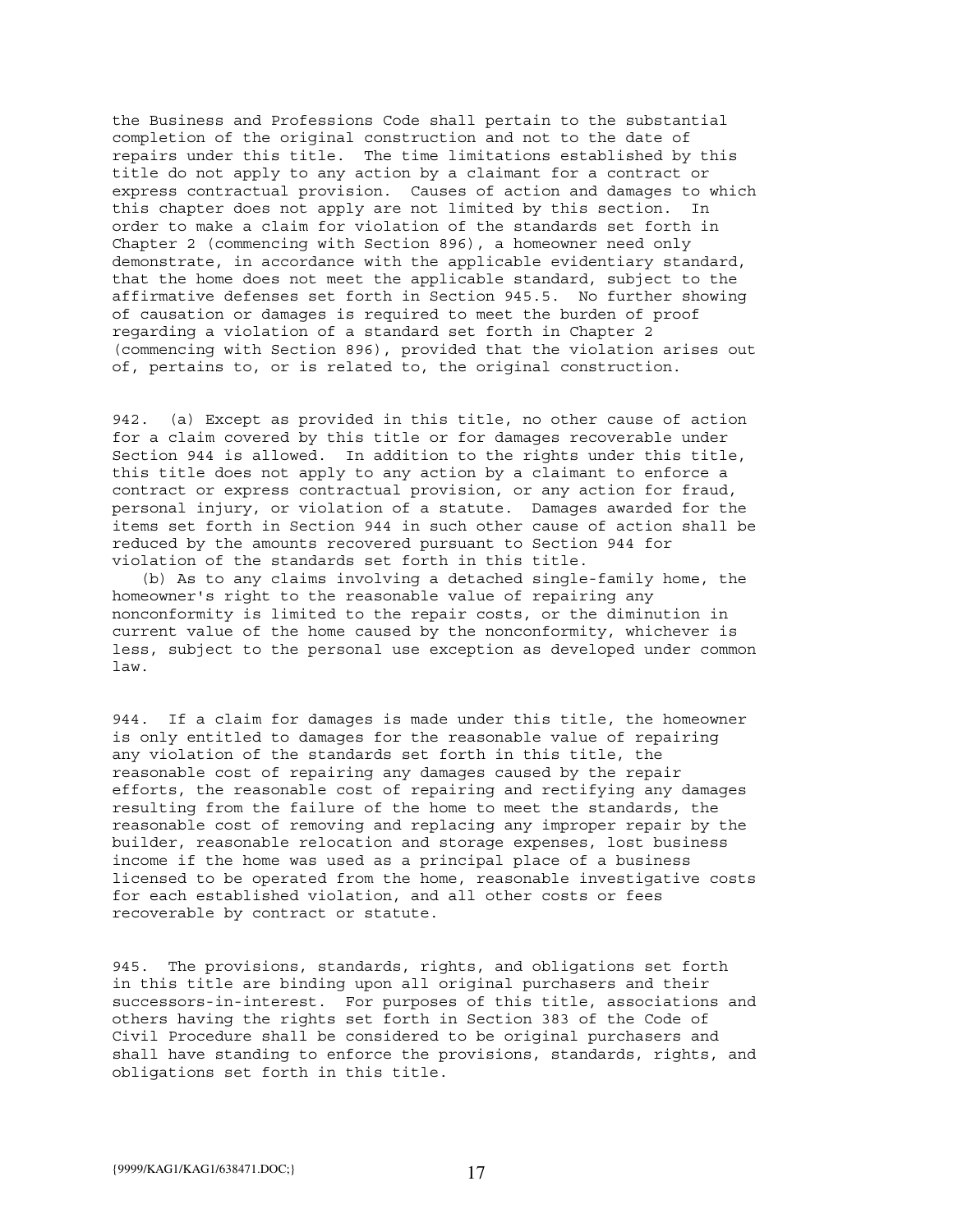the Business and Professions Code shall pertain to the substantial completion of the original construction and not to the date of repairs under this title. The time limitations established by this title do not apply to any action by a claimant for a contract or express contractual provision. Causes of action and damages to which this chapter does not apply are not limited by this section. In order to make a claim for violation of the standards set forth in Chapter 2 (commencing with Section 896), a homeowner need only demonstrate, in accordance with the applicable evidentiary standard, that the home does not meet the applicable standard, subject to the affirmative defenses set forth in Section 945.5. No further showing of causation or damages is required to meet the burden of proof regarding a violation of a standard set forth in Chapter 2 (commencing with Section 896), provided that the violation arises out of, pertains to, or is related to, the original construction.

942. (a) Except as provided in this title, no other cause of action for a claim covered by this title or for damages recoverable under Section 944 is allowed. In addition to the rights under this title, this title does not apply to any action by a claimant to enforce a contract or express contractual provision, or any action for fraud, personal injury, or violation of a statute. Damages awarded for the items set forth in Section 944 in such other cause of action shall be reduced by the amounts recovered pursuant to Section 944 for violation of the standards set forth in this title.

 (b) As to any claims involving a detached single-family home, the homeowner's right to the reasonable value of repairing any nonconformity is limited to the repair costs, or the diminution in current value of the home caused by the nonconformity, whichever is less, subject to the personal use exception as developed under common law.

944. If a claim for damages is made under this title, the homeowner is only entitled to damages for the reasonable value of repairing any violation of the standards set forth in this title, the reasonable cost of repairing any damages caused by the repair efforts, the reasonable cost of repairing and rectifying any damages resulting from the failure of the home to meet the standards, the reasonable cost of removing and replacing any improper repair by the builder, reasonable relocation and storage expenses, lost business income if the home was used as a principal place of a business licensed to be operated from the home, reasonable investigative costs for each established violation, and all other costs or fees recoverable by contract or statute.

945. The provisions, standards, rights, and obligations set forth in this title are binding upon all original purchasers and their successors-in-interest. For purposes of this title, associations and others having the rights set forth in Section 383 of the Code of Civil Procedure shall be considered to be original purchasers and shall have standing to enforce the provisions, standards, rights, and obligations set forth in this title.